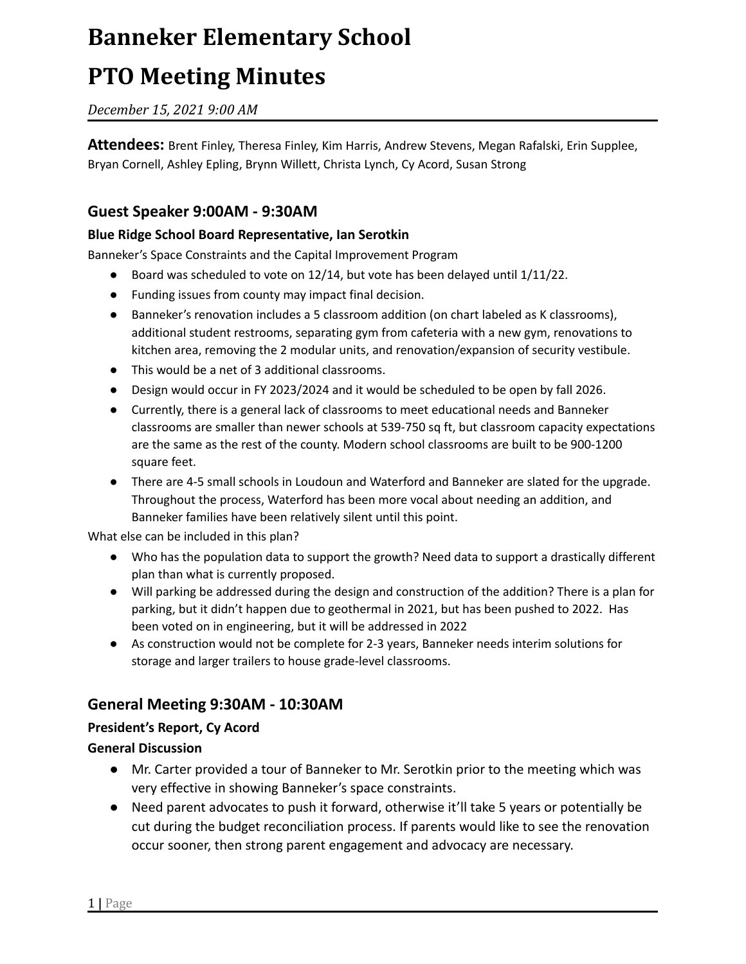# **Banneker Elementary School**

# **PTO Meeting Minutes**

*December 15, 2021 9:00 AM*

**Attendees:** Brent Finley, Theresa Finley, Kim Harris, Andrew Stevens, Megan Rafalski, Erin Supplee, Bryan Cornell, Ashley Epling, Brynn Willett, Christa Lynch, Cy Acord, Susan Strong

## **Guest Speaker 9:00AM - 9:30AM**

#### **Blue Ridge School Board Representative, Ian Serotkin**

Banneker's Space Constraints and the Capital Improvement Program

- Board was scheduled to vote on 12/14, but vote has been delayed until 1/11/22.
- Funding issues from county may impact final decision.
- Banneker's renovation includes a 5 classroom addition (on chart labeled as K classrooms), additional student restrooms, separating gym from cafeteria with a new gym, renovations to kitchen area, removing the 2 modular units, and renovation/expansion of security vestibule.
- This would be a net of 3 additional classrooms.
- Design would occur in FY 2023/2024 and it would be scheduled to be open by fall 2026.
- Currently, there is a general lack of classrooms to meet educational needs and Banneker classrooms are smaller than newer schools at 539-750 sq ft, but classroom capacity expectations are the same as the rest of the county. Modern school classrooms are built to be 900-1200 square feet.
- There are 4-5 small schools in Loudoun and Waterford and Banneker are slated for the upgrade. Throughout the process, Waterford has been more vocal about needing an addition, and Banneker families have been relatively silent until this point.

What else can be included in this plan?

- Who has the population data to support the growth? Need data to support a drastically different plan than what is currently proposed.
- Will parking be addressed during the design and construction of the addition? There is a plan for parking, but it didn't happen due to geothermal in 2021, but has been pushed to 2022. Has been voted on in engineering, but it will be addressed in 2022
- As construction would not be complete for 2-3 years, Banneker needs interim solutions for storage and larger trailers to house grade-level classrooms.

## **General Meeting 9:30AM - 10:30AM**

### **President's Report, Cy Acord**

#### **General Discussion**

- Mr. Carter provided a tour of Banneker to Mr. Serotkin prior to the meeting which was very effective in showing Banneker's space constraints.
- Need parent advocates to push it forward, otherwise it'll take 5 years or potentially be cut during the budget reconciliation process. If parents would like to see the renovation occur sooner, then strong parent engagement and advocacy are necessary.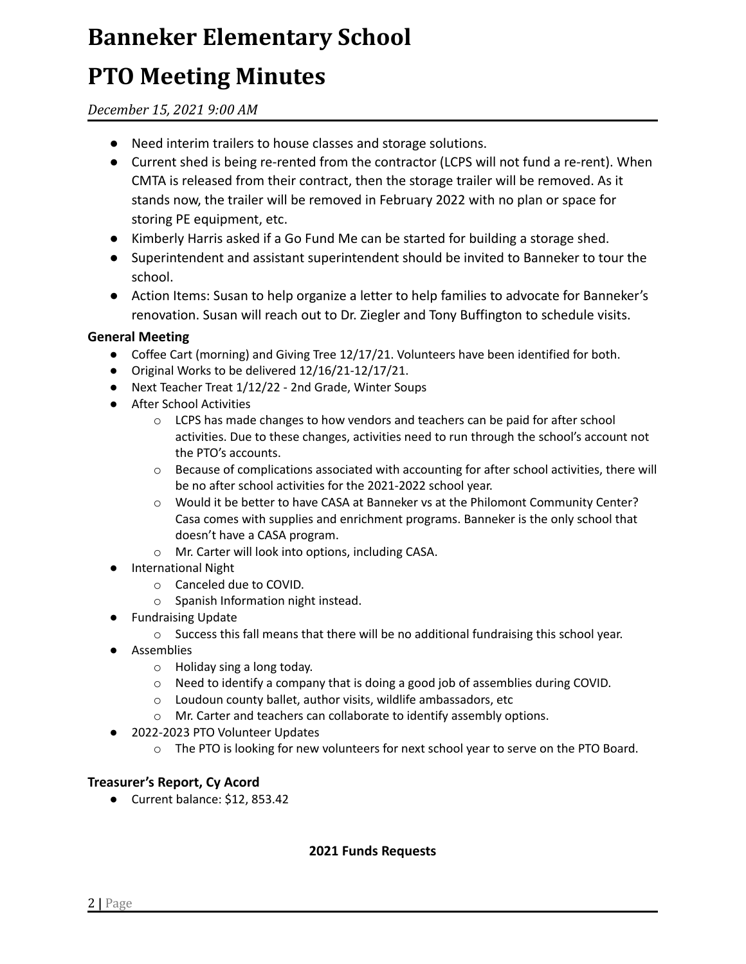# **Banneker Elementary School**

# **PTO Meeting Minutes**

*December 15, 2021 9:00 AM*

- Need interim trailers to house classes and storage solutions.
- Current shed is being re-rented from the contractor (LCPS will not fund a re-rent). When CMTA is released from their contract, then the storage trailer will be removed. As it stands now, the trailer will be removed in February 2022 with no plan or space for storing PE equipment, etc.
- Kimberly Harris asked if a Go Fund Me can be started for building a storage shed.
- Superintendent and assistant superintendent should be invited to Banneker to tour the school.
- Action Items: Susan to help organize a letter to help families to advocate for Banneker's renovation. Susan will reach out to Dr. Ziegler and Tony Buffington to schedule visits.

### **General Meeting**

- Coffee Cart (morning) and Giving Tree 12/17/21. Volunteers have been identified for both.
- Original Works to be delivered 12/16/21-12/17/21.
- Next Teacher Treat 1/12/22 2nd Grade, Winter Soups
- After School Activities
	- $\circ$  LCPS has made changes to how vendors and teachers can be paid for after school activities. Due to these changes, activities need to run through the school's account not the PTO's accounts.
	- $\circ$  Because of complications associated with accounting for after school activities, there will be no after school activities for the 2021-2022 school year.
	- o Would it be better to have CASA at Banneker vs at the Philomont Community Center? Casa comes with supplies and enrichment programs. Banneker is the only school that doesn't have a CASA program.
	- o Mr. Carter will look into options, including CASA.
- International Night
	- o Canceled due to COVID.
	- o Spanish Information night instead.
- Fundraising Update
	- $\circ$  Success this fall means that there will be no additional fundraising this school year.
- Assemblies
	- o Holiday sing a long today.
	- $\circ$  Need to identify a company that is doing a good job of assemblies during COVID.
	- o Loudoun county ballet, author visits, wildlife ambassadors, etc
	- o Mr. Carter and teachers can collaborate to identify assembly options.
- 2022-2023 PTO Volunteer Updates
	- o The PTO is looking for new volunteers for next school year to serve on the PTO Board.

#### **Treasurer's Report, Cy Acord**

● Current balance: \$12, 853.42

#### **2021 Funds Requests**